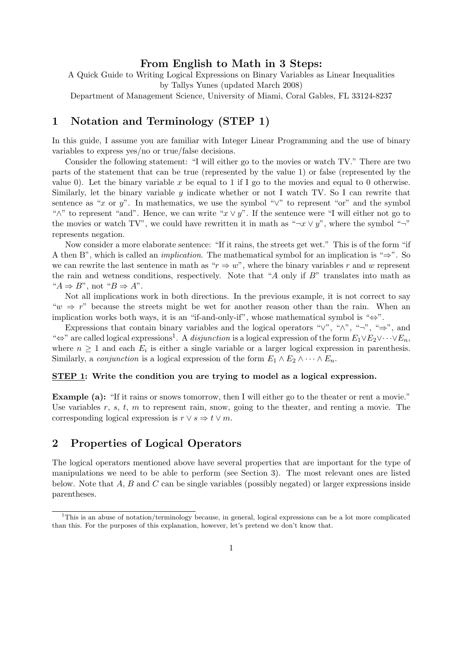### From English to Math in 3 Steps:

A Quick Guide to Writing Logical Expressions on Binary Variables as Linear Inequalities by Tallys Yunes (updated March 2008) Department of Management Science, University of Miami, Coral Gables, FL 33124-8237

# 1 Notation and Terminology (STEP 1)

In this guide, I assume you are familiar with Integer Linear Programming and the use of binary variables to express yes/no or true/false decisions.

Consider the following statement: "I will either go to the movies or watch TV." There are two parts of the statement that can be true (represented by the value 1) or false (represented by the value 0). Let the binary variable x be equal to 1 if I go to the movies and equal to 0 otherwise. Similarly, let the binary variable  $y$  indicate whether or not I watch TV. So I can rewrite that sentence as "x or y". In mathematics, we use the symbol " $\vee$ " to represent "or" and the symbol " $\wedge$ " to represent "and". Hence, we can write " $x \vee y$ ". If the sentence were "I will either not go to the movies or watch TV", we could have rewritten it in math as " $\neg x \lor y$ ", where the symbol "¬" represents negation.

Now consider a more elaborate sentence: "If it rains, the streets get wet." This is of the form "if A then B", which is called an *implication*. The mathematical symbol for an implication is " $\Rightarrow$ ". So we can rewrite the last sentence in math as " $r \Rightarrow w$ ", where the binary variables r and w represent the rain and wetness conditions, respectively. Note that "A only if  $B$ " translates into math as " $A \Rightarrow B$ ", not " $B \Rightarrow A$ ".

Not all implications work in both directions. In the previous example, it is not correct to say " $w \Rightarrow r$ " because the streets might be wet for another reason other than the rain. When an implication works both ways, it is an "if-and-only-if", whose mathematical symbol is " $\Leftrightarrow$ ".

Expressions that contain binary variables and the logical operators " $\vee$ ", " $\wedge$ ", " $\rightarrow$ ", " $\Rightarrow$ ", and " $\Leftrightarrow$ " are called logical expressions<sup>1</sup>. A *disjunction* is a logical expression of the form  $E_1 \vee E_2 \vee \cdots \vee E_n$ , where  $n \geq 1$  and each  $E_i$  is either a single variable or a larger logical expression in parenthesis. Similarly, a *conjunction* is a logical expression of the form  $E_1 \wedge E_2 \wedge \cdots \wedge E_n$ .

#### STEP 1: Write the condition you are trying to model as a logical expression.

Example (a): "If it rains or snows tomorrow, then I will either go to the theater or rent a movie." Use variables  $r, s, t, m$  to represent rain, snow, going to the theater, and renting a movie. The corresponding logical expression is  $r \vee s \Rightarrow t \vee m$ .

# 2 Properties of Logical Operators

The logical operators mentioned above have several properties that are important for the type of manipulations we need to be able to perform (see Section 3). The most relevant ones are listed below. Note that  $A, B$  and  $C$  can be single variables (possibly negated) or larger expressions inside parentheses.

<sup>&</sup>lt;sup>1</sup>This is an abuse of notation/terminology because, in general, logical expressions can be a lot more complicated than this. For the purposes of this explanation, however, let's pretend we don't know that.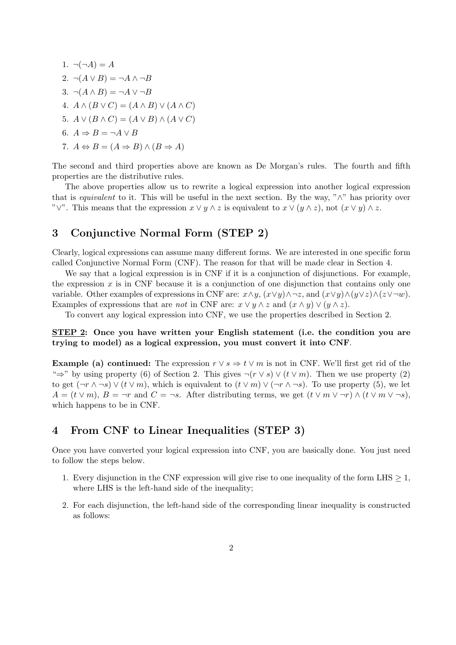1. 
$$
\neg(\neg A) = A
$$
  
\n2.  $\neg(A \lor B) = \neg A \land \neg B$   
\n3.  $\neg(A \land B) = \neg A \lor \neg B$   
\n4.  $A \land (B \lor C) = (A \land B) \lor (A \land C)$   
\n5.  $A \lor (B \land C) = (A \lor B) \land (A \lor C)$   
\n6.  $A \Rightarrow B = \neg A \lor B$   
\n7.  $A \Leftrightarrow B = (A \Rightarrow B) \land (B \Rightarrow A)$ 

The second and third properties above are known as De Morgan's rules. The fourth and fifth properties are the distributive rules.

The above properties allow us to rewrite a logical expression into another logical expression that is *equivalent* to it. This will be useful in the next section. By the way, " $\wedge$ " has priority over " $\vee$ ". This means that the expression  $x \vee y \wedge z$  is equivalent to  $x \vee (y \wedge z)$ , not  $(x \vee y) \wedge z$ .

### 3 Conjunctive Normal Form (STEP 2)

Clearly, logical expressions can assume many different forms. We are interested in one specific form called Conjunctive Normal Form (CNF). The reason for that will be made clear in Section 4.

We say that a logical expression is in CNF if it is a conjunction of disjunctions. For example, the expression  $x$  is in CNF because it is a conjunction of one disjunction that contains only one variable. Other examples of expressions in CNF are:  $x \wedge y$ ,  $(x \vee y) \wedge \neg z$ , and  $(x \vee y) \wedge (y \vee z) \wedge (z \vee \neg w)$ . Examples of expressions that are not in CNF are:  $x \vee y \wedge z$  and  $(x \wedge y) \vee (y \wedge z)$ .

To convert any logical expression into CNF, we use the properties described in Section 2.

#### STEP 2: Once you have written your English statement (i.e. the condition you are trying to model) as a logical expression, you must convert it into CNF.

Example (a) continued: The expression  $r \vee s \Rightarrow t \vee m$  is not in CNF. We'll first get rid of the " $\Rightarrow$ " by using property (6) of Section 2. This gives  $\neg(r \vee s) \vee (t \vee m)$ . Then we use property (2) to get  $(\neg r \wedge \neg s) \vee (t \vee m)$ , which is equivalent to  $(t \vee m) \vee (\neg r \wedge \neg s)$ . To use property (5), we let  $A = (t \vee m), B = \neg r$  and  $C = \neg s$ . After distributing terms, we get  $(t \vee m \vee \neg r) \wedge (t \vee m \vee \neg s)$ , which happens to be in CNF.

# 4 From CNF to Linear Inequalities (STEP 3)

Once you have converted your logical expression into CNF, you are basically done. You just need to follow the steps below.

- 1. Every disjunction in the CNF expression will give rise to one inequality of the form LHS  $\geq 1$ , where LHS is the left-hand side of the inequality;
- 2. For each disjunction, the left-hand side of the corresponding linear inequality is constructed as follows: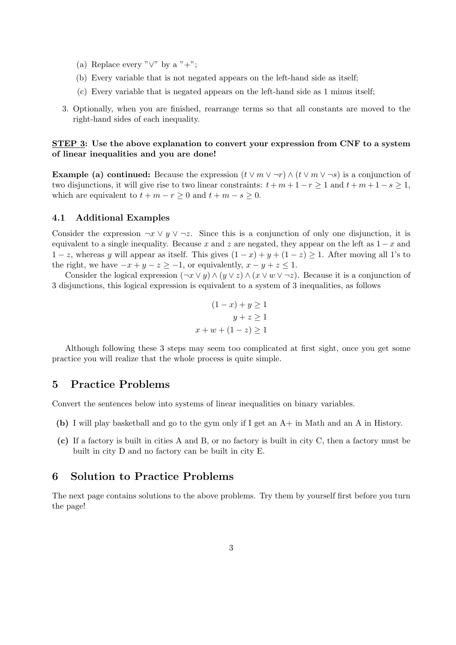- (a) Replace every " $\vee$ " by a "+";
- (b) Every variable that is not negated appears on the left-hand side as itself;
- (c) Every variable that is negated appears on the left-hand side as 1 minus itself;
- 3. Optionally, when you are finished, rearrange terms so that all constants are moved to the right-hand sides of each inequality.

#### STEP 3: Use the above explanation to convert your expression from CNF to a system of linear inequalities and you are done!

Example (a) continued: Because the expression  $(t \vee m \vee \neg r) \wedge (t \vee m \vee \neg s)$  is a conjunction of two disjunctions, it will give rise to two linear constraints:  $t + m + 1 - r \ge 1$  and  $t + m + 1 - s \ge 1$ , which are equivalent to  $t + m - r \geq 0$  and  $t + m - s \geq 0$ .

#### 4.1 Additional Examples

Consider the expression  $\neg x \lor y \lor \neg z$ . Since this is a conjunction of only one disjunction, it is equivalent to a single inequality. Because x and z are negated, they appear on the left as  $1 - x$  and  $1-z$ , whereas y will appear as itself. This gives  $(1-x)+y+(1-z) \ge 1$ . After moving all 1's to the right, we have  $-x + y - z \ge -1$ , or equivalently,  $x - y + z \le 1$ .

Consider the logical expression  $(\neg x \lor y) \land (y \lor z) \land (x \lor w \lor \neg z)$ . Because it is a conjunction of 3 disjunctions, this logical expression is equivalent to a system of 3 inequalities, as follows

$$
(1-x) + y \ge 1
$$

$$
y + z \ge 1
$$

$$
x + w + (1 - z) \ge 1
$$

Although following these 3 steps may seem too complicated at first sight, once you get some practice you will realize that the whole process is quite simple.

## 5 Practice Problems

Convert the sentences below into systems of linear inequalities on binary variables.

- (b) I will play basketball and go to the gym only if I get an A+ in Math and an A in History.
- (c) If a factory is built in cities A and B, or no factory is built in city C, then a factory must be built in city D and no factory can be built in city E.

#### 6 Solution to Practice Problems

The next page contains solutions to the above problems. Try them by yourself first before you turn the page!